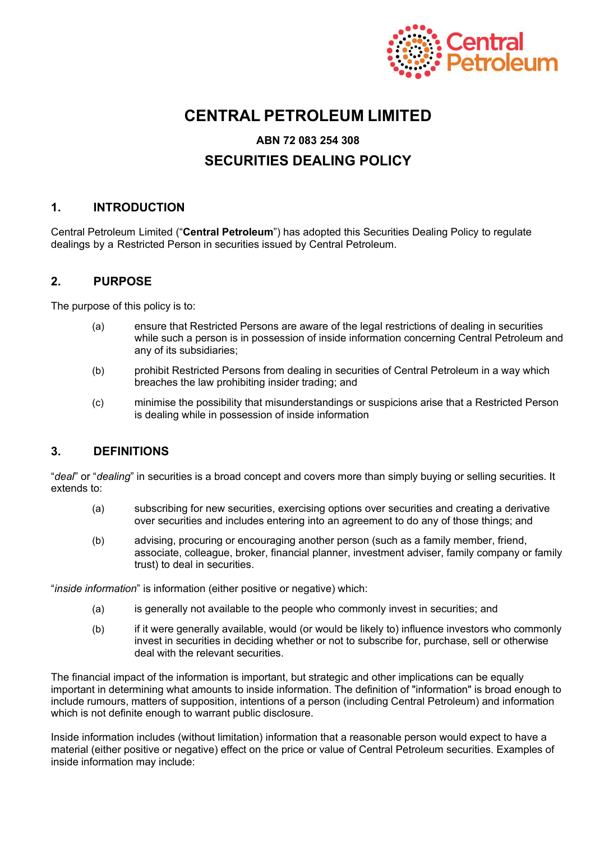

# **CENTRAL PETROLEUM LIMITED**

#### **ABN 72 083 254 308**

# **SECURITIES DEALING POLICY**

## **1. INTRODUCTION**

Central Petroleum Limited ("**Central Petroleum**") has adopted this Securities Dealing Policy to regulate dealings by a Restricted Person in securities issued by Central Petroleum.

## **2. PURPOSE**

The purpose of this policy is to:

- (a) ensure that Restricted Persons are aware of the legal restrictions of dealing in securities while such a person is in possession of inside information concerning Central Petroleum and any of its subsidiaries;
- (b) prohibit Restricted Persons from dealing in securities of Central Petroleum in a way which breaches the law prohibiting insider trading; and
- (c) minimise the possibility that misunderstandings or suspicions arise that a Restricted Person is dealing while in possession of inside information

# **3. DEFINITIONS**

"*deal*" or "*dealing*" in securities is a broad concept and covers more than simply buying or selling securities. It extends to:

- (a) subscribing for new securities, exercising options over securities and creating a derivative over securities and includes entering into an agreement to do any of those things; and
- (b) advising, procuring or encouraging another person (such as a family member, friend, associate, colleague, broker, financial planner, investment adviser, family company or family trust) to deal in securities.

"*inside information*" is information (either positive or negative) which:

- (a) is generally not available to the people who commonly invest in securities; and
- (b) if it were generally available, would (or would be likely to) influence investors who commonly invest in securities in deciding whether or not to subscribe for, purchase, sell or otherwise deal with the relevant securities.

The financial impact of the information is important, but strategic and other implications can be equally important in determining what amounts to inside information. The definition of "information" is broad enough to include rumours, matters of supposition, intentions of a person (including Central Petroleum) and information which is not definite enough to warrant public disclosure.

Inside information includes (without limitation) information that a reasonable person would expect to have a material (either positive or negative) effect on the price or value of Central Petroleum securities. Examples of inside information may include: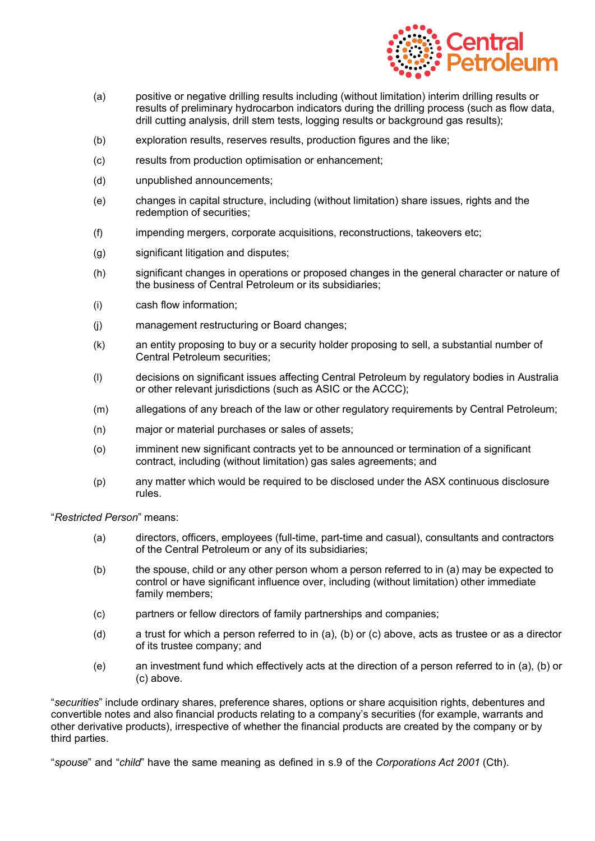

- (a) positive or negative drilling results including (without limitation) interim drilling results or results of preliminary hydrocarbon indicators during the drilling process (such as flow data, drill cutting analysis, drill stem tests, logging results or background gas results);
- (b) exploration results, reserves results, production figures and the like;
- (c) results from production optimisation or enhancement;
- (d) unpublished announcements;
- (e) changes in capital structure, including (without limitation) share issues, rights and the redemption of securities;
- (f) impending mergers, corporate acquisitions, reconstructions, takeovers etc;
- (g) significant litigation and disputes;
- (h) significant changes in operations or proposed changes in the general character or nature of the business of Central Petroleum or its subsidiaries;
- (i) cash flow information;
- (j) management restructuring or Board changes;
- (k) an entity proposing to buy or a security holder proposing to sell, a substantial number of Central Petroleum securities;
- (l) decisions on significant issues affecting Central Petroleum by regulatory bodies in Australia or other relevant jurisdictions (such as ASIC or the ACCC);
- (m) allegations of any breach of the law or other regulatory requirements by Central Petroleum;
- (n) major or material purchases or sales of assets;
- (o) imminent new significant contracts yet to be announced or termination of a significant contract, including (without limitation) gas sales agreements; and
- (p) any matter which would be required to be disclosed under the ASX continuous disclosure rules.

"*Restricted Person*" means:

- (a) directors, officers, employees (full-time, part-time and casual), consultants and contractors of the Central Petroleum or any of its subsidiaries;
- (b) the spouse, child or any other person whom a person referred to in (a) may be expected to control or have significant influence over, including (without limitation) other immediate family members;
- (c) partners or fellow directors of family partnerships and companies;
- (d) a trust for which a person referred to in (a), (b) or (c) above, acts as trustee or as a director of its trustee company; and
- (e) an investment fund which effectively acts at the direction of a person referred to in (a), (b) or (c) above.

"*securities*" include ordinary shares, preference shares, options or share acquisition rights, debentures and convertible notes and also financial products relating to a company's securities (for example, warrants and other derivative products), irrespective of whether the financial products are created by the company or by third parties.

"*spouse*" and "*child*" have the same meaning as defined in s.9 of the *Corporations Act 2001* (Cth).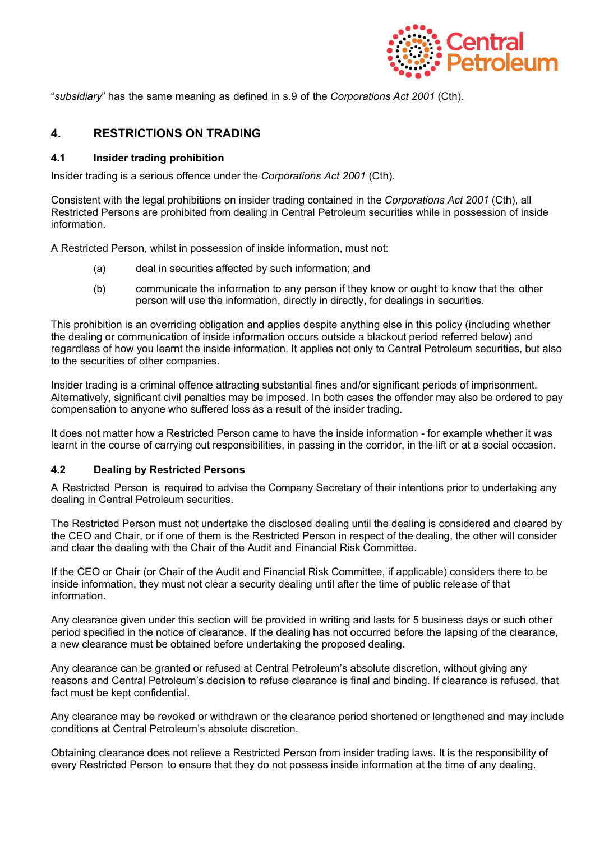

"*subsidiary*" has the same meaning as defined in s.9 of the *Corporations Act 2001* (Cth).

# **4. RESTRICTIONS ON TRADING**

### **4.1 Insider trading prohibition**

Insider trading is a serious offence under the *Corporations Act 2001* (Cth).

Consistent with the legal prohibitions on insider trading contained in the *Corporations Act 2001* (Cth), all Restricted Persons are prohibited from dealing in Central Petroleum securities while in possession of inside information.

A Restricted Person, whilst in possession of inside information, must not:

- (a) deal in securities affected by such information; and
- (b) communicate the information to any person if they know or ought to know that the other person will use the information, directly in directly, for dealings in securities.

This prohibition is an overriding obligation and applies despite anything else in this policy (including whether the dealing or communication of inside information occurs outside a blackout period referred below) and regardless of how you learnt the inside information. It applies not only to Central Petroleum securities, but also to the securities of other companies.

Insider trading is a criminal offence attracting substantial fines and/or significant periods of imprisonment. Alternatively, significant civil penalties may be imposed. In both cases the offender may also be ordered to pay compensation to anyone who suffered loss as a result of the insider trading.

It does not matter how a Restricted Person came to have the inside information - for example whether it was learnt in the course of carrying out responsibilities, in passing in the corridor, in the lift or at a social occasion.

### **4.2 Dealing by Restricted Persons**

A Restricted Person is required to advise the Company Secretary of their intentions prior to undertaking any dealing in Central Petroleum securities.

The Restricted Person must not undertake the disclosed dealing until the dealing is considered and cleared by the CEO and Chair, or if one of them is the Restricted Person in respect of the dealing, the other will consider and clear the dealing with the Chair of the Audit and Financial Risk Committee.

If the CEO or Chair (or Chair of the Audit and Financial Risk Committee, if applicable) considers there to be inside information, they must not clear a security dealing until after the time of public release of that information.

Any clearance given under this section will be provided in writing and lasts for 5 business days or such other period specified in the notice of clearance. If the dealing has not occurred before the lapsing of the clearance, a new clearance must be obtained before undertaking the proposed dealing.

Any clearance can be granted or refused at Central Petroleum's absolute discretion, without giving any reasons and Central Petroleum's decision to refuse clearance is final and binding. If clearance is refused, that fact must be kept confidential.

Any clearance may be revoked or withdrawn or the clearance period shortened or lengthened and may include conditions at Central Petroleum's absolute discretion.

Obtaining clearance does not relieve a Restricted Person from insider trading laws. It is the responsibility of every Restricted Person to ensure that they do not possess inside information at the time of any dealing.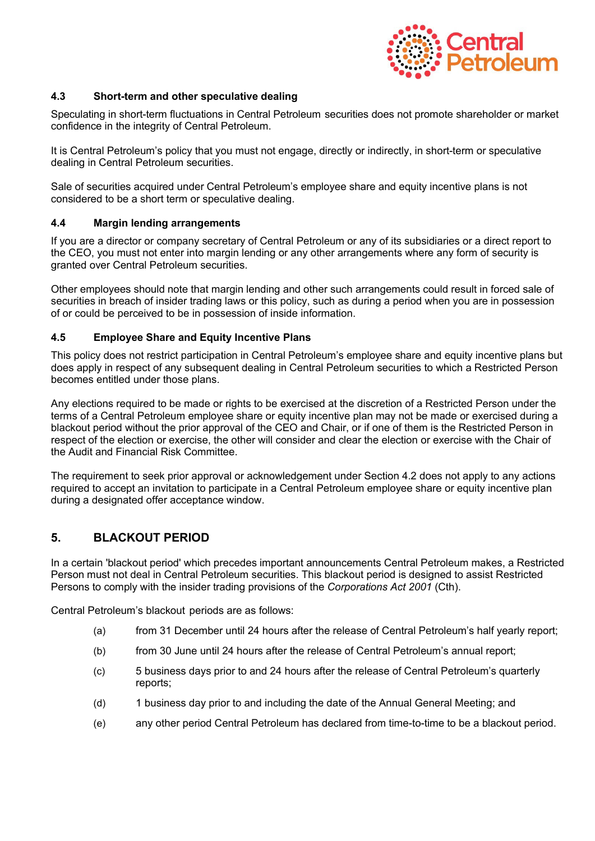

### **4.3 Short-term and other speculative dealing**

Speculating in short-term fluctuations in Central Petroleum securities does not promote shareholder or market confidence in the integrity of Central Petroleum.

It is Central Petroleum's policy that you must not engage, directly or indirectly, in short-term or speculative dealing in Central Petroleum securities.

Sale of securities acquired under Central Petroleum's employee share and equity incentive plans is not considered to be a short term or speculative dealing.

### **4.4 Margin lending arrangements**

If you are a director or company secretary of Central Petroleum or any of its subsidiaries or a direct report to the CEO, you must not enter into margin lending or any other arrangements where any form of security is granted over Central Petroleum securities.

Other employees should note that margin lending and other such arrangements could result in forced sale of securities in breach of insider trading laws or this policy, such as during a period when you are in possession of or could be perceived to be in possession of inside information.

### **4.5 Employee Share and Equity Incentive Plans**

This policy does not restrict participation in Central Petroleum's employee share and equity incentive plans but does apply in respect of any subsequent dealing in Central Petroleum securities to which a Restricted Person becomes entitled under those plans.

Any elections required to be made or rights to be exercised at the discretion of a Restricted Person under the terms of a Central Petroleum employee share or equity incentive plan may not be made or exercised during a blackout period without the prior approval of the CEO and Chair, or if one of them is the Restricted Person in respect of the election or exercise, the other will consider and clear the election or exercise with the Chair of the Audit and Financial Risk Committee.

The requirement to seek prior approval or acknowledgement under Section 4.2 does not apply to any actions required to accept an invitation to participate in a Central Petroleum employee share or equity incentive plan during a designated offer acceptance window.

# **5. BLACKOUT PERIOD**

In a certain 'blackout period' which precedes important announcements Central Petroleum makes, a Restricted Person must not deal in Central Petroleum securities. This blackout period is designed to assist Restricted Persons to comply with the insider trading provisions of the *Corporations Act 2001* (Cth).

Central Petroleum's blackout periods are as follows:

- (a) from 31 December until 24 hours after the release of Central Petroleum's half yearly report;
- (b) from 30 June until 24 hours after the release of Central Petroleum's annual report;
- (c) 5 business days prior to and 24 hours after the release of Central Petroleum's quarterly reports;
- (d) 1 business day prior to and including the date of the Annual General Meeting; and
- (e) any other period Central Petroleum has declared from time-to-time to be a blackout period.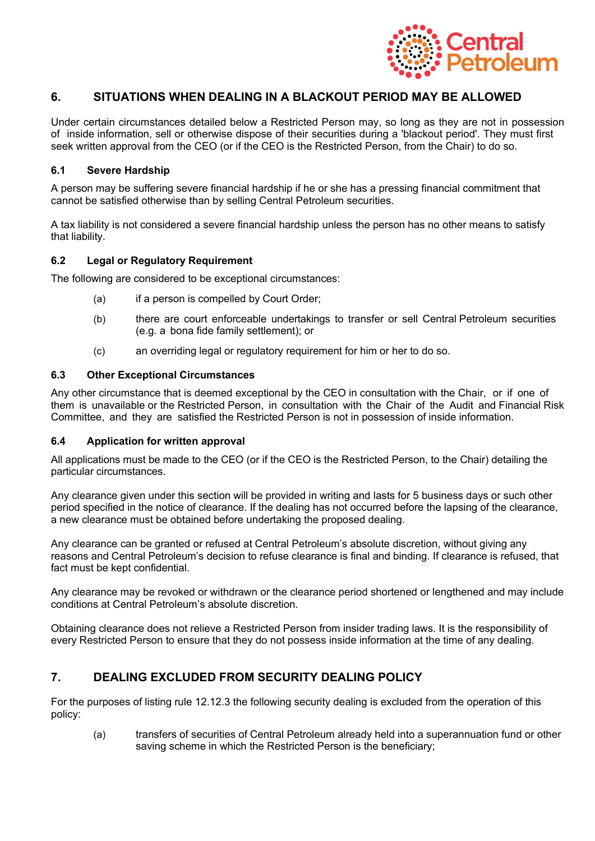

# **6. SITUATIONS WHEN DEALING IN A BLACKOUT PERIOD MAY BE ALLOWED**

Under certain circumstances detailed below a Restricted Person may, so long as they are not in possession of inside information, sell or otherwise dispose of their securities during a 'blackout period'. They must first seek written approval from the CEO (or if the CEO is the Restricted Person, from the Chair) to do so.

### **6.1 Severe Hardship**

A person may be suffering severe financial hardship if he or she has a pressing financial commitment that cannot be satisfied otherwise than by selling Central Petroleum securities.

A tax liability is not considered a severe financial hardship unless the person has no other means to satisfy that liability.

### **6.2 Legal or Regulatory Requirement**

The following are considered to be exceptional circumstances:

- (a) if a person is compelled by Court Order;
- (b) there are court enforceable undertakings to transfer or sell Central Petroleum securities (e.g. a bona fide family settlement); or
- (c) an overriding legal or regulatory requirement for him or her to do so.

#### **6.3 Other Exceptional Circumstances**

Any other circumstance that is deemed exceptional by the CEO in consultation with the Chair, or if one of them is unavailable or the Restricted Person, in consultation with the Chair of the Audit and Financial Risk Committee, and they are satisfied the Restricted Person is not in possession of inside information.

#### **6.4 Application for written approval**

All applications must be made to the CEO (or if the CEO is the Restricted Person, to the Chair) detailing the particular circumstances.

Any clearance given under this section will be provided in writing and lasts for 5 business days or such other period specified in the notice of clearance. If the dealing has not occurred before the lapsing of the clearance, a new clearance must be obtained before undertaking the proposed dealing.

Any clearance can be granted or refused at Central Petroleum's absolute discretion, without giving any reasons and Central Petroleum's decision to refuse clearance is final and binding. If clearance is refused, that fact must be kept confidential.

Any clearance may be revoked or withdrawn or the clearance period shortened or lengthened and may include conditions at Central Petroleum's absolute discretion.

Obtaining clearance does not relieve a Restricted Person from insider trading laws. It is the responsibility of every Restricted Person to ensure that they do not possess inside information at the time of any dealing.

# **7. DEALING EXCLUDED FROM SECURITY DEALING POLICY**

For the purposes of listing rule 12.12.3 the following security dealing is excluded from the operation of this policy:

(a) transfers of securities of Central Petroleum already held into a superannuation fund or other saving scheme in which the Restricted Person is the beneficiary;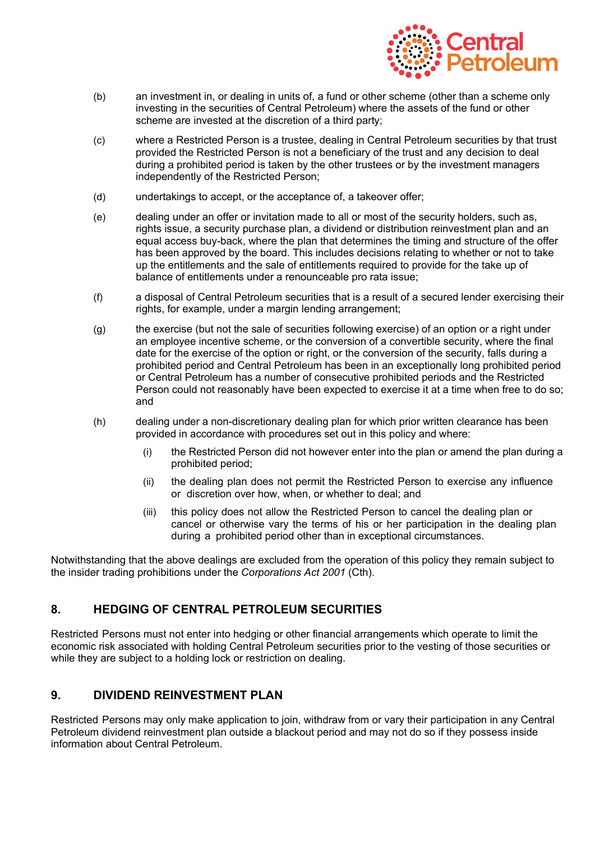

- (b) an investment in, or dealing in units of, a fund or other scheme (other than a scheme only investing in the securities of Central Petroleum) where the assets of the fund or other scheme are invested at the discretion of a third party;
- (c) where a Restricted Person is a trustee, dealing in Central Petroleum securities by that trust provided the Restricted Person is not a beneficiary of the trust and any decision to deal during a prohibited period is taken by the other trustees or by the investment managers independently of the Restricted Person;
- (d) undertakings to accept, or the acceptance of, a takeover offer;
- (e) dealing under an offer or invitation made to all or most of the security holders, such as, rights issue, a security purchase plan, a dividend or distribution reinvestment plan and an equal access buy-back, where the plan that determines the timing and structure of the offer has been approved by the board. This includes decisions relating to whether or not to take up the entitlements and the sale of entitlements required to provide for the take up of balance of entitlements under a renounceable pro rata issue;
- (f) a disposal of Central Petroleum securities that is a result of a secured lender exercising their rights, for example, under a margin lending arrangement;
- (g) the exercise (but not the sale of securities following exercise) of an option or a right under an employee incentive scheme, or the conversion of a convertible security, where the final date for the exercise of the option or right, or the conversion of the security, falls during a prohibited period and Central Petroleum has been in an exceptionally long prohibited period or Central Petroleum has a number of consecutive prohibited periods and the Restricted Person could not reasonably have been expected to exercise it at a time when free to do so; and
- (h) dealing under a non-discretionary dealing plan for which prior written clearance has been provided in accordance with procedures set out in this policy and where:
	- (i) the Restricted Person did not however enter into the plan or amend the plan during a prohibited period;
	- (ii) the dealing plan does not permit the Restricted Person to exercise any influence or discretion over how, when, or whether to deal; and
	- (iii) this policy does not allow the Restricted Person to cancel the dealing plan or cancel or otherwise vary the terms of his or her participation in the dealing plan during a prohibited period other than in exceptional circumstances.

Notwithstanding that the above dealings are excluded from the operation of this policy they remain subject to the insider trading prohibitions under the *Corporations Act 2001* (Cth).

# **8. HEDGING OF CENTRAL PETROLEUM SECURITIES**

Restricted Persons must not enter into hedging or other financial arrangements which operate to limit the economic risk associated with holding Central Petroleum securities prior to the vesting of those securities or while they are subject to a holding lock or restriction on dealing.

# **9. DIVIDEND REINVESTMENT PLAN**

Restricted Persons may only make application to join, withdraw from or vary their participation in any Central Petroleum dividend reinvestment plan outside a blackout period and may not do so if they possess inside information about Central Petroleum.